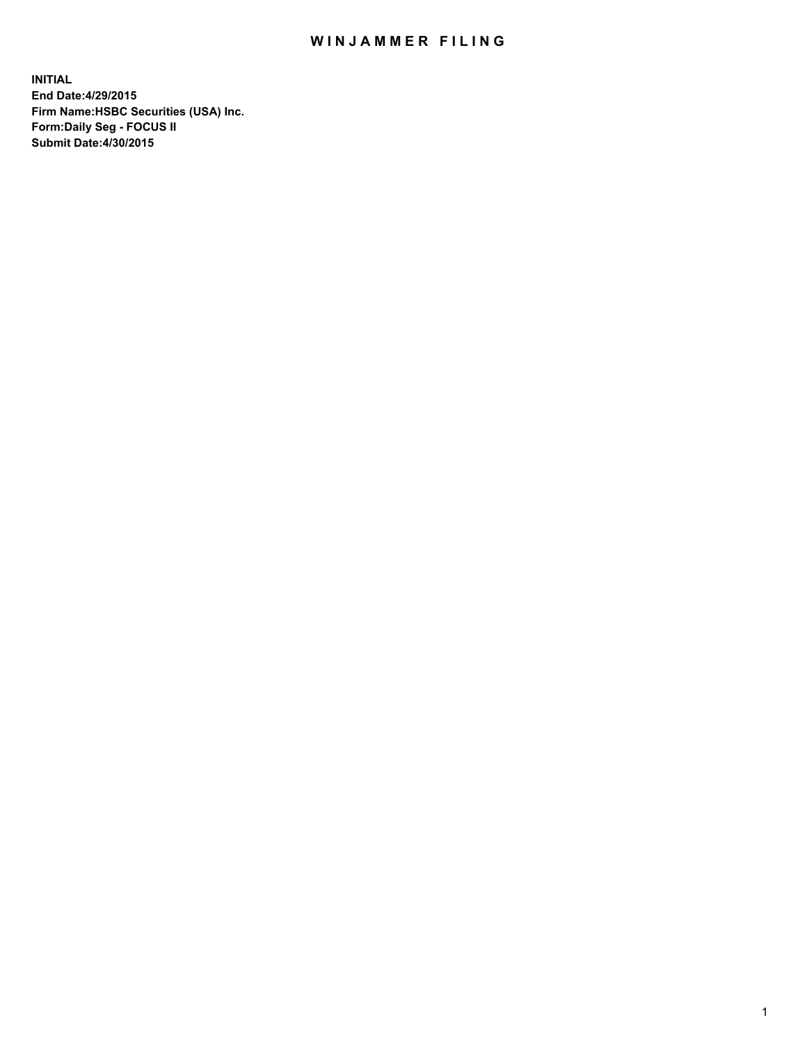## WIN JAMMER FILING

**INITIAL End Date:4/29/2015 Firm Name:HSBC Securities (USA) Inc. Form:Daily Seg - FOCUS II Submit Date:4/30/2015**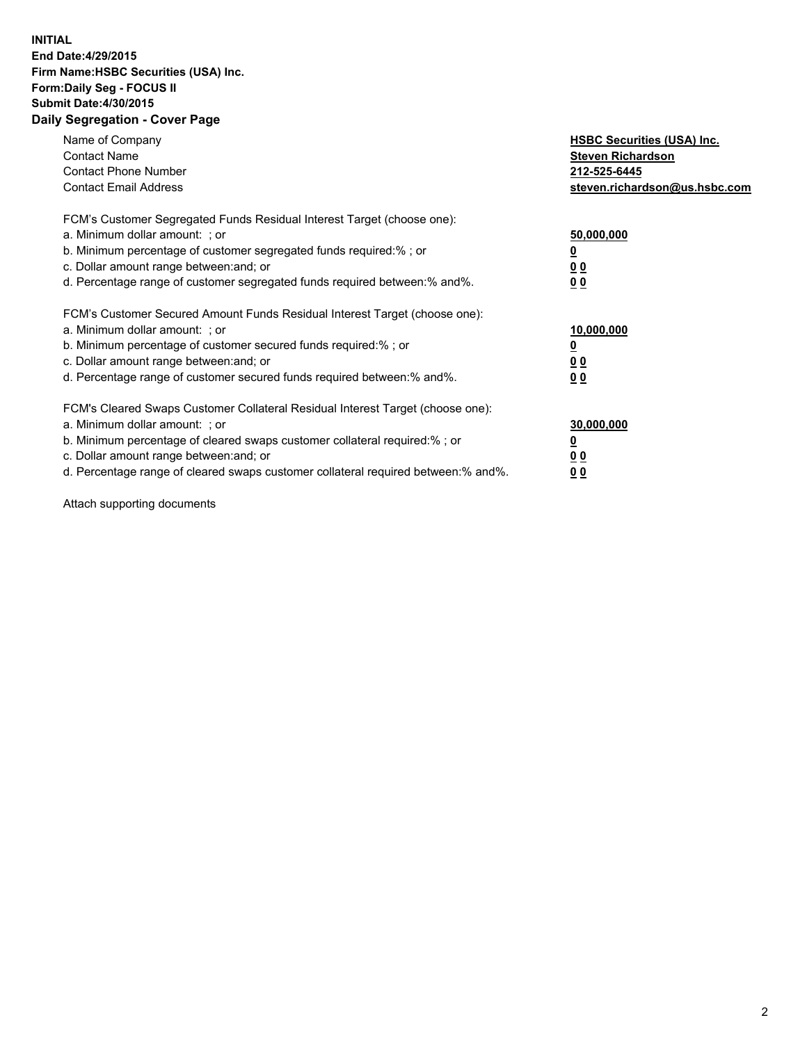## **INITIAL End Date:4/29/2015 Firm Name:HSBC Securities (USA) Inc. Form:Daily Seg - FOCUS II Submit Date:4/30/2015 Daily Segregation - Cover Page**

| Name of Company<br><b>Contact Name</b><br><b>Contact Phone Number</b><br><b>Contact Email Address</b>                                                                                                                                                                                                                          | <b>HSBC Securities (USA) Inc.</b><br><b>Steven Richardson</b><br>212-525-6445<br>steven.richardson@us.hsbc.com |
|--------------------------------------------------------------------------------------------------------------------------------------------------------------------------------------------------------------------------------------------------------------------------------------------------------------------------------|----------------------------------------------------------------------------------------------------------------|
| FCM's Customer Segregated Funds Residual Interest Target (choose one):<br>a. Minimum dollar amount: ; or<br>b. Minimum percentage of customer segregated funds required:% ; or<br>c. Dollar amount range between: and; or<br>d. Percentage range of customer segregated funds required between:% and%.                         | 50,000,000<br>0 <sub>0</sub><br>0 <sub>0</sub>                                                                 |
| FCM's Customer Secured Amount Funds Residual Interest Target (choose one):<br>a. Minimum dollar amount: ; or<br>b. Minimum percentage of customer secured funds required:%; or<br>c. Dollar amount range between: and; or<br>d. Percentage range of customer secured funds required between: % and %.                          | 10,000,000<br><u>0</u><br>0 <sub>0</sub><br>0 <sub>0</sub>                                                     |
| FCM's Cleared Swaps Customer Collateral Residual Interest Target (choose one):<br>a. Minimum dollar amount: ; or<br>b. Minimum percentage of cleared swaps customer collateral required:% ; or<br>c. Dollar amount range between: and; or<br>d. Percentage range of cleared swaps customer collateral required between:% and%. | 30,000,000<br>0 <sub>0</sub><br>0 <sub>0</sub>                                                                 |

Attach supporting documents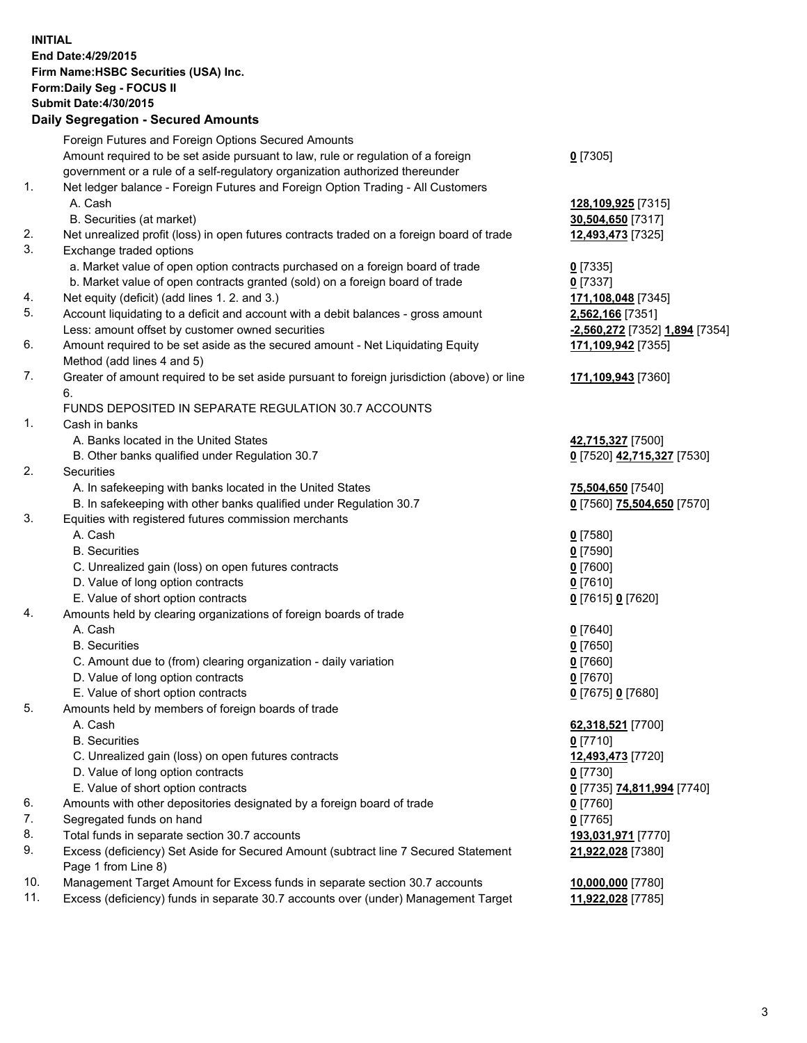**INITIAL End Date:4/29/2015 Firm Name:HSBC Securities (USA) Inc. Form:Daily Seg - FOCUS II Submit Date:4/30/2015 Daily Segregation - Secured Amounts**

Foreign Futures and Foreign Options Secured Amounts Amount required to be set aside pursuant to law, rule or regulation of a foreign government or a rule of a self-regulatory organization authorized thereunder **0** [7305] 1. Net ledger balance - Foreign Futures and Foreign Option Trading - All Customers A. Cash **128,109,925** [7315] B. Securities (at market) **30,504,650** [7317] 2. Net unrealized profit (loss) in open futures contracts traded on a foreign board of trade **12,493,473** [7325] 3. Exchange traded options a. Market value of open option contracts purchased on a foreign board of trade **0** [7335] b. Market value of open contracts granted (sold) on a foreign board of trade **0** [7337] 4. Net equity (deficit) (add lines 1. 2. and 3.) **171,108,048** [7345] 5. Account liquidating to a deficit and account with a debit balances - gross amount **2,562,166** [7351] Less: amount offset by customer owned securities **-2,560,272** [7352] **1,894** [7354] 6. Amount required to be set aside as the secured amount - Net Liquidating Equity Method (add lines 4 and 5) **171,109,942** [7355] 7. Greater of amount required to be set aside pursuant to foreign jurisdiction (above) or line 6. **171,109,943** [7360] FUNDS DEPOSITED IN SEPARATE REGULATION 30.7 ACCOUNTS 1. Cash in banks A. Banks located in the United States **42,715,327** [7500] B. Other banks qualified under Regulation 30.7 **0** [7520] **42,715,327** [7530] 2. Securities A. In safekeeping with banks located in the United States **75,504,650** [7540] B. In safekeeping with other banks qualified under Regulation 30.7 **0** [7560] **75,504,650** [7570] 3. Equities with registered futures commission merchants A. Cash **0** [7580] B. Securities **0** [7590] C. Unrealized gain (loss) on open futures contracts **0** [7600] D. Value of long option contracts **0** [7610] E. Value of short option contracts **0** [7615] **0** [7620] 4. Amounts held by clearing organizations of foreign boards of trade A. Cash **0** [7640] B. Securities **0** [7650] C. Amount due to (from) clearing organization - daily variation **0** [7660] D. Value of long option contracts **0** [7670] E. Value of short option contracts **0** [7675] **0** [7680] 5. Amounts held by members of foreign boards of trade A. Cash **62,318,521** [7700] B. Securities **0** [7710] C. Unrealized gain (loss) on open futures contracts **12,493,473** [7720] D. Value of long option contracts **0** [7730] E. Value of short option contracts **0** [7735] **74,811,994** [7740] 6. Amounts with other depositories designated by a foreign board of trade **0** [7760] 7. Segregated funds on hand **0** [7765] 8. Total funds in separate section 30.7 accounts **193,031,971** [7770] 9. Excess (deficiency) Set Aside for Secured Amount (subtract line 7 Secured Statement Page 1 from Line 8) **21,922,028** [7380] 10. Management Target Amount for Excess funds in separate section 30.7 accounts **10,000,000** [7780] 11. Excess (deficiency) funds in separate 30.7 accounts over (under) Management Target **11,922,028** [7785]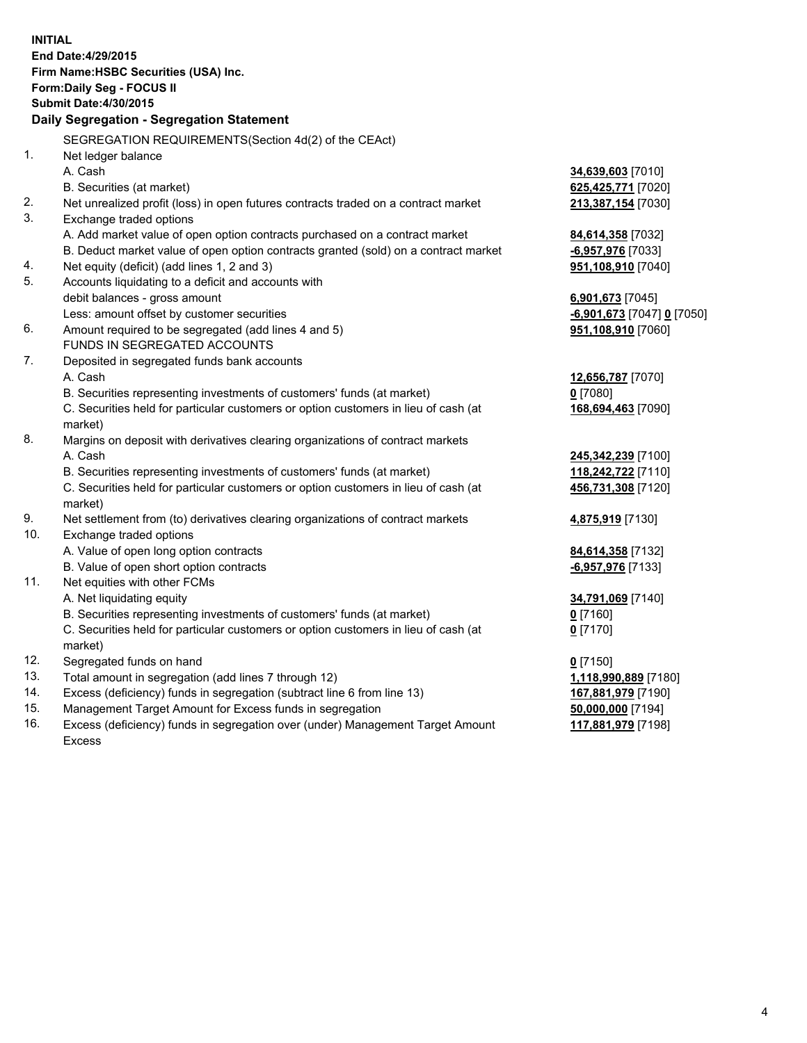| <b>INITIAL</b> | End Date: 4/29/2015<br>Firm Name: HSBC Securities (USA) Inc.<br>Form: Daily Seg - FOCUS II<br><b>Submit Date:4/30/2015</b><br>Daily Segregation - Segregation Statement |                                          |
|----------------|-------------------------------------------------------------------------------------------------------------------------------------------------------------------------|------------------------------------------|
|                | SEGREGATION REQUIREMENTS(Section 4d(2) of the CEAct)                                                                                                                    |                                          |
| 1.             | Net ledger balance                                                                                                                                                      |                                          |
|                | A. Cash                                                                                                                                                                 | 34,639,603 [7010]                        |
|                | B. Securities (at market)                                                                                                                                               | 625,425,771 [7020]                       |
| 2.             | Net unrealized profit (loss) in open futures contracts traded on a contract market                                                                                      | 213,387,154 [7030]                       |
| 3.             | Exchange traded options                                                                                                                                                 |                                          |
|                | A. Add market value of open option contracts purchased on a contract market                                                                                             | 84,614,358 [7032]                        |
|                | B. Deduct market value of open option contracts granted (sold) on a contract market                                                                                     | -6,957,976 [7033]                        |
| 4.             | Net equity (deficit) (add lines 1, 2 and 3)                                                                                                                             | 951,108,910 [7040]                       |
| 5.             | Accounts liquidating to a deficit and accounts with                                                                                                                     |                                          |
|                | debit balances - gross amount                                                                                                                                           | 6,901,673 [7045]                         |
|                | Less: amount offset by customer securities                                                                                                                              | <b>-6,901,673</b> [7047] <b>0</b> [7050] |
| 6.             | Amount required to be segregated (add lines 4 and 5)                                                                                                                    | 951,108,910 [7060]                       |
|                | FUNDS IN SEGREGATED ACCOUNTS                                                                                                                                            |                                          |
| 7.             | Deposited in segregated funds bank accounts                                                                                                                             |                                          |
|                | A. Cash                                                                                                                                                                 | 12,656,787 [7070]                        |
|                | B. Securities representing investments of customers' funds (at market)                                                                                                  | $0$ [7080]                               |
|                | C. Securities held for particular customers or option customers in lieu of cash (at<br>market)                                                                          | 168,694,463 [7090]                       |
| 8.             | Margins on deposit with derivatives clearing organizations of contract markets                                                                                          |                                          |
|                | A. Cash                                                                                                                                                                 | 245,342,239 [7100]                       |
|                | B. Securities representing investments of customers' funds (at market)                                                                                                  | 118,242,722 [7110]                       |
|                | C. Securities held for particular customers or option customers in lieu of cash (at<br>market)                                                                          | 456,731,308 [7120]                       |
| 9.             | Net settlement from (to) derivatives clearing organizations of contract markets                                                                                         | 4,875,919 [7130]                         |
| 10.            | Exchange traded options                                                                                                                                                 |                                          |
|                | A. Value of open long option contracts                                                                                                                                  | 84,614,358 [7132]                        |
|                | B. Value of open short option contracts                                                                                                                                 | -6,957,976 [7133]                        |
| 11.            | Net equities with other FCMs                                                                                                                                            |                                          |
|                | A. Net liquidating equity                                                                                                                                               | 34,791,069 [7140]                        |
|                | B. Securities representing investments of customers' funds (at market)                                                                                                  | $0$ [7160]                               |
|                | C. Securities held for particular customers or option customers in lieu of cash (at<br>market)                                                                          | <u>0</u> [7170]                          |
| 12.            | Segregated funds on hand                                                                                                                                                | $0$ [7150]                               |
| 13.            | Total amount in segregation (add lines 7 through 12)                                                                                                                    | 1,118,990,889 [7180]                     |
| 14.            | Excess (deficiency) funds in segregation (subtract line 6 from line 13)                                                                                                 | 167,881,979 [7190]                       |
| 15.            | Management Target Amount for Excess funds in segregation                                                                                                                | 50,000,000 [7194]                        |
| 16.            | Excess (deficiency) funds in segregation over (under) Management Target Amount<br>Excess                                                                                | 117,881,979 [7198]                       |